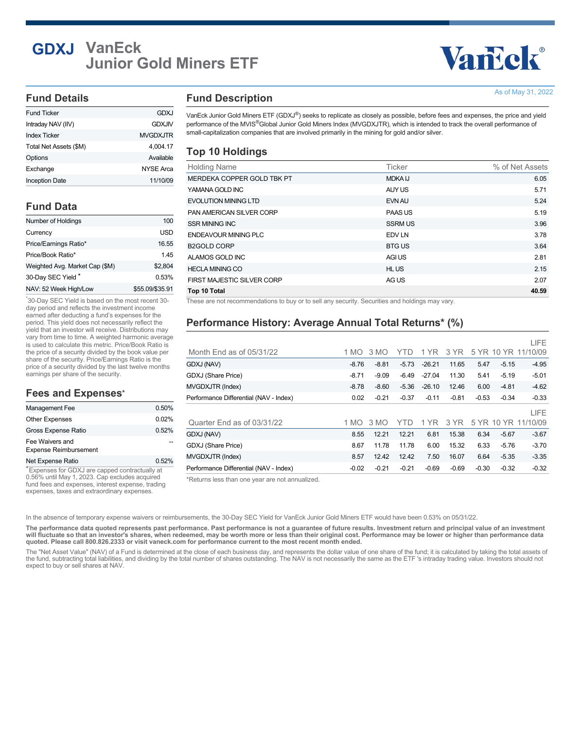## **GDXJ VanEck Junior Gold Miners ETF**

# Vancok®

As of May 31, 2022

#### **Fund Details**

| <b>Inception Date</b>  | 11/10/09        |
|------------------------|-----------------|
| Exchange               | NYSE Arca       |
| Options                | Available       |
| Total Net Assets (\$M) | 4.004.17        |
| <b>Index Ticker</b>    | <b>MVGDXJTR</b> |
| Intraday NAV (IIV)     | <b>GDXJIV</b>   |
| <b>Fund Ticker</b>     | GDXJ            |

#### **Fund Data**

| Number of Holdings             | 100             |
|--------------------------------|-----------------|
| Currency                       | USD             |
| Price/Earnings Ratio*          | 16.55           |
| Price/Book Ratio*              | 145             |
| Weighted Avg. Market Cap (\$M) | \$2.804         |
| 30-Day SEC Yield*              | 0.53%           |
| NAV: 52 Week High/Low          | \$55.09/\$35.91 |

30-Day SEC Yield is based on the most recent 30- \* day period and reflects the investment income earned after deducting a fund's expenses for the period. This yield does not necessarily reflect the yield that an investor will receive. Distributions may vary from time to time. A weighted harmonic average is used to calculate this metric. Price/Book Ratio is the price of a security divided by the book value per share of the security. Price/Earnings Ratio is the price of a security divided by the last twelve months earnings per share of the security.

#### **Fees and Expenses \***

| Management Fee                                  | 0.50% |
|-------------------------------------------------|-------|
| <b>Other Expenses</b>                           | 0.02% |
| Gross Expense Ratio                             | 0.52% |
| Fee Waivers and<br><b>Expense Reimbursement</b> |       |
| Net Expense Ratio                               | 0.52% |

Expenses for GDXJ are capped contractually at \* 0.56% until May 1, 2023. Cap excludes acquired fund fees and expenses, interest expense, trading expenses, taxes and extraordinary expenses.

#### **Fund Description**

VanEck Junior Gold Miners ETF (GDXJ®) seeks to replicate as closely as possible, before fees and expenses, the price and yield performance of the MVIS®Global Junior Gold Miners Index (MVGDXJTR), which is intended to track the overall performance of small-capitalization companies that are involved primarily in the mining for gold and/or silver.

#### **Top 10 Holdings**

| <b>Holding Name</b>         | Ticker         | % of Net Assets |
|-----------------------------|----------------|-----------------|
| MERDEKA COPPER GOLD TBK PT  | <b>MDKA IJ</b> | 6.05            |
| YAMANA GOLD INC             | AUY US         | 5.71            |
| <b>EVOLUTION MINING LTD</b> | EVN AU         | 5.24            |
| PAN AMERICAN SILVER CORP    | PAAS US        | 5.19            |
| <b>SSR MINING INC</b>       | <b>SSRM US</b> | 3.96            |
| <b>ENDEAVOUR MINING PLC</b> | EDV LN         | 3.78            |
| <b>B2GOLD CORP</b>          | <b>BTG US</b>  | 3.64            |
| ALAMOS GOLD INC             | <b>AGI US</b>  | 2.81            |
| <b>HECLA MINING CO</b>      | <b>HLUS</b>    | 2.15            |
| FIRST MAJESTIC SILVER CORP  | AG US          | 2.07            |
| Top 10 Total                |                | 40.59           |

These are not recommendations to buy or to sell any security. Securities and holdings may vary.

#### **Performance History: Average Annual Total Returns\* (%)**

|                                        |         |         |         |          |         |         |         | LIFE                |
|----------------------------------------|---------|---------|---------|----------|---------|---------|---------|---------------------|
| Month End as of $05/31/22$             | 1 MO    | 3 MO    | YTD     | 1 YR     | 3 YR    |         |         | 5 YR 10 YR 11/10/09 |
| GDXJ (NAV)                             | $-8.76$ | $-8.81$ | $-5.73$ | $-26.21$ | 11.65   | 5.47    | $-5.15$ | $-4.95$             |
| <b>GDXJ</b> (Share Price)              | $-8.71$ | $-9.09$ | $-6.49$ | $-27.04$ | 11.30   | 5.41    | $-5.19$ | $-5.01$             |
| MVGDXJTR (Index)                       | $-8.78$ | $-8.60$ | $-5.36$ | $-26.10$ | 12.46   | 6.00    | $-4.81$ | $-4.62$             |
| Performance Differential (NAV - Index) | 0.02    | $-0.21$ | $-0.37$ | $-0.11$  | $-0.81$ | $-0.53$ | $-0.34$ | $-0.33$             |
|                                        |         |         |         |          |         |         |         | LIFE                |
| Quarter End as of 03/31/22             | 1 MO    | 3 MO    | YTD     | 1 YR     | 3 YR    |         |         | 5 YR 10 YR 11/10/09 |
| GDXJ (NAV)                             | 8.55    | 12.21   | 12.21   | 6.81     | 15.38   | 6.34    | $-5.67$ | $-3.67$             |
| GDXJ (Share Price)                     | 8.67    | 11.78   | 11.78   | 6.00     | 15.32   | 6.33    | $-5.76$ | $-3.70$             |
| <b>MVGDXJTR (Index)</b>                | 8.57    | 12.42   | 12.42   | 7.50     | 16.07   | 6.64    | $-5.35$ | $-3.35$             |
| Performance Differential (NAV - Index) | $-0.02$ | $-0.21$ | $-0.21$ | $-0.69$  | $-0.69$ | $-0.30$ | $-0.32$ | $-0.32$             |

\*Returns less than one year are not annualized.

In the absence of temporary expense waivers or reimbursements, the 30-Day SEC Yield for VanEck Junior Gold Miners ETF would have been 0.53% on 05/31/22.

**The performance data quoted represents past performance. Past performance is not a guarantee of future results. Investment return and principal value of an investment will fluctuate so that an investor's shares, when redeemed, may be worth more or less than their original cost. Performance may be lower or higher than performance data quoted. Please call 800.826.2333 or visit vaneck.com for performance current to the most recent month ended.**

The "Net Asset Value" (NAV) of a Fund is determined at the close of each business day, and represents the dollar value of one share of the fund; it is calculated by taking the total assets of the fund, subtracting total liabilities, and dividing by the total number of shares outstanding. The NAV is not necessarily the same as the ETF 's intraday trading value. Investors should not expect to buy or sell shares at NAV.